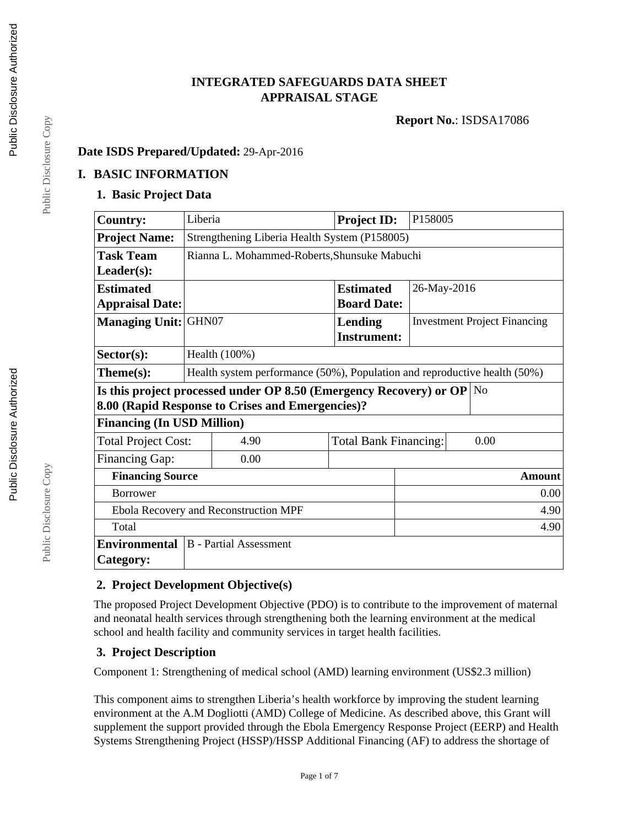# **INTEGRATED SAFEGUARDS DATA SHEET APPRAISAL STAGE**

**Report No.**: ISDSA17086

### **Date ISDS Prepared/Updated:** 29-Apr-2016

## **I. BASIC INFORMATION**

## **1. Basic Project Data**

| <b>Country:</b>                                                               | Liberia                                                                   |                                 |  | <b>Project ID:</b>           |               | P158005                             |      |
|-------------------------------------------------------------------------------|---------------------------------------------------------------------------|---------------------------------|--|------------------------------|---------------|-------------------------------------|------|
| <b>Project Name:</b>                                                          | Strengthening Liberia Health System (P158005)                             |                                 |  |                              |               |                                     |      |
| <b>Task Team</b>                                                              | Rianna L. Mohammed-Roberts, Shunsuke Mabuchi                              |                                 |  |                              |               |                                     |      |
| $Leader(s)$ :                                                                 |                                                                           |                                 |  |                              |               |                                     |      |
| <b>Estimated</b>                                                              |                                                                           | <b>Estimated</b><br>26-May-2016 |  |                              |               |                                     |      |
| <b>Appraisal Date:</b>                                                        |                                                                           |                                 |  | <b>Board Date:</b>           |               |                                     |      |
| Managing Unit: GHN07                                                          |                                                                           |                                 |  | Lending                      |               | <b>Investment Project Financing</b> |      |
|                                                                               |                                                                           |                                 |  | <b>Instrument:</b>           |               |                                     |      |
| $Sector(s)$ :                                                                 | Health (100%)                                                             |                                 |  |                              |               |                                     |      |
| Theme(s):                                                                     | Health system performance (50%), Population and reproductive health (50%) |                                 |  |                              |               |                                     |      |
| Is this project processed under OP 8.50 (Emergency Recovery) or OP $\vert$ No |                                                                           |                                 |  |                              |               |                                     |      |
| 8.00 (Rapid Response to Crises and Emergencies)?                              |                                                                           |                                 |  |                              |               |                                     |      |
| <b>Financing (In USD Million)</b>                                             |                                                                           |                                 |  |                              |               |                                     |      |
| <b>Total Project Cost:</b>                                                    |                                                                           | 4.90                            |  | <b>Total Bank Financing:</b> |               |                                     | 0.00 |
| <b>Financing Gap:</b>                                                         |                                                                           | 0.00                            |  |                              |               |                                     |      |
| <b>Financing Source</b>                                                       |                                                                           |                                 |  |                              | <b>Amount</b> |                                     |      |
| <b>Borrower</b>                                                               |                                                                           |                                 |  |                              | 0.00          |                                     |      |
| Ebola Recovery and Reconstruction MPF                                         |                                                                           |                                 |  | 4.90                         |               |                                     |      |
| Total                                                                         |                                                                           |                                 |  |                              |               |                                     | 4.90 |
| <b>Environmental</b>                                                          |                                                                           | <b>B</b> - Partial Assessment   |  |                              |               |                                     |      |
| Category:                                                                     |                                                                           |                                 |  |                              |               |                                     |      |

# **2. Project Development Objective(s)**

The proposed Project Development Objective (PDO) is to contribute to the improvement of maternal and neonatal health services through strengthening both the learning environment at the medical school and health facility and community services in target health facilities.

# **3. Project Description**

Component 1: Strengthening of medical school (AMD) learning environment (US\$2.3 million)

This component aims to strengthen Liberia's health workforce by improving the student learning environment at the A.M Dogliotti (AMD) College of Medicine. As described above, this Grant will supplement the support provided through the Ebola Emergency Response Project (EERP) and Health Systems Strengthening Project (HSSP)/HSSP Additional Financing (AF) to address the shortage of

Public Disclosure Copy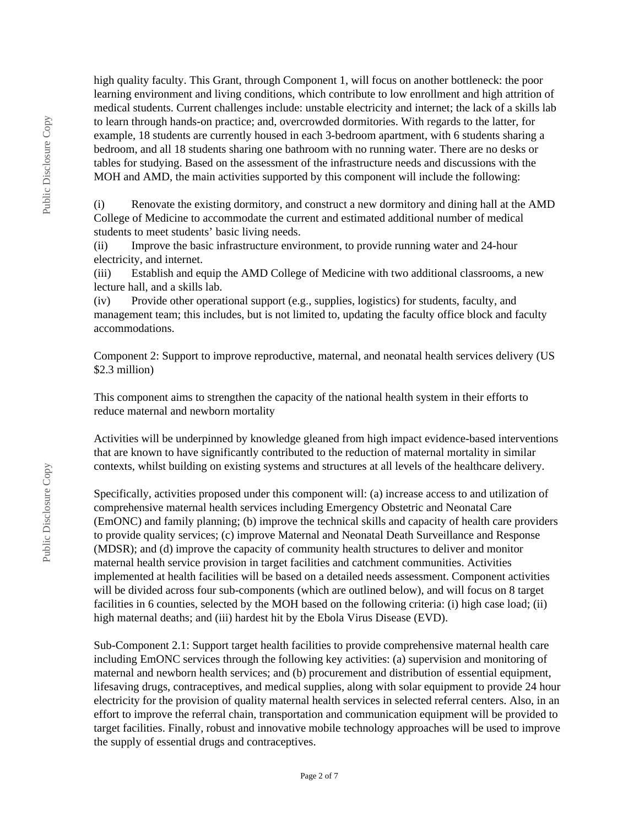high quality faculty. This Grant, through Component 1, will focus on another bottleneck: the poor learning environment and living conditions, which contribute to low enrollment and high attrition of medical students. Current challenges include: unstable electricity and internet; the lack of a skills lab to learn through hands-on practice; and, overcrowded dormitories. With regards to the latter, for example, 18 students are currently housed in each 3-bedroom apartment, with 6 students sharing a bedroom, and all 18 students sharing one bathroom with no running water. There are no desks or tables for studying. Based on the assessment of the infrastructure needs and discussions with the MOH and AMD, the main activities supported by this component will include the following:

(i) Renovate the existing dormitory, and construct a new dormitory and dining hall at the AMD College of Medicine to accommodate the current and estimated additional number of medical students to meet students' basic living needs.

(ii) Improve the basic infrastructure environment, to provide running water and 24-hour electricity, and internet.

(iii) Establish and equip the AMD College of Medicine with two additional classrooms, a new lecture hall, and a skills lab.

(iv) Provide other operational support (e.g., supplies, logistics) for students, faculty, and management team; this includes, but is not limited to, updating the faculty office block and faculty accommodations.

Component 2: Support to improve reproductive, maternal, and neonatal health services delivery (US \$2.3 million)

This component aims to strengthen the capacity of the national health system in their efforts to reduce maternal and newborn mortality

Activities will be underpinned by knowledge gleaned from high impact evidence-based interventions that are known to have significantly contributed to the reduction of maternal mortality in similar contexts, whilst building on existing systems and structures at all levels of the healthcare delivery.

Specifically, activities proposed under this component will: (a) increase access to and utilization of comprehensive maternal health services including Emergency Obstetric and Neonatal Care (EmONC) and family planning; (b) improve the technical skills and capacity of health care providers to provide quality services; (c) improve Maternal and Neonatal Death Surveillance and Response (MDSR); and (d) improve the capacity of community health structures to deliver and monitor maternal health service provision in target facilities and catchment communities. Activities implemented at health facilities will be based on a detailed needs assessment. Component activities will be divided across four sub-components (which are outlined below), and will focus on 8 target facilities in 6 counties, selected by the MOH based on the following criteria: (i) high case load; (ii) high maternal deaths; and (iii) hardest hit by the Ebola Virus Disease (EVD).

Sub-Component 2.1: Support target health facilities to provide comprehensive maternal health care including EmONC services through the following key activities: (a) supervision and monitoring of maternal and newborn health services; and (b) procurement and distribution of essential equipment, lifesaving drugs, contraceptives, and medical supplies, along with solar equipment to provide 24 hour electricity for the provision of quality maternal health services in selected referral centers. Also, in an effort to improve the referral chain, transportation and communication equipment will be provided to target facilities. Finally, robust and innovative mobile technology approaches will be used to improve the supply of essential drugs and contraceptives.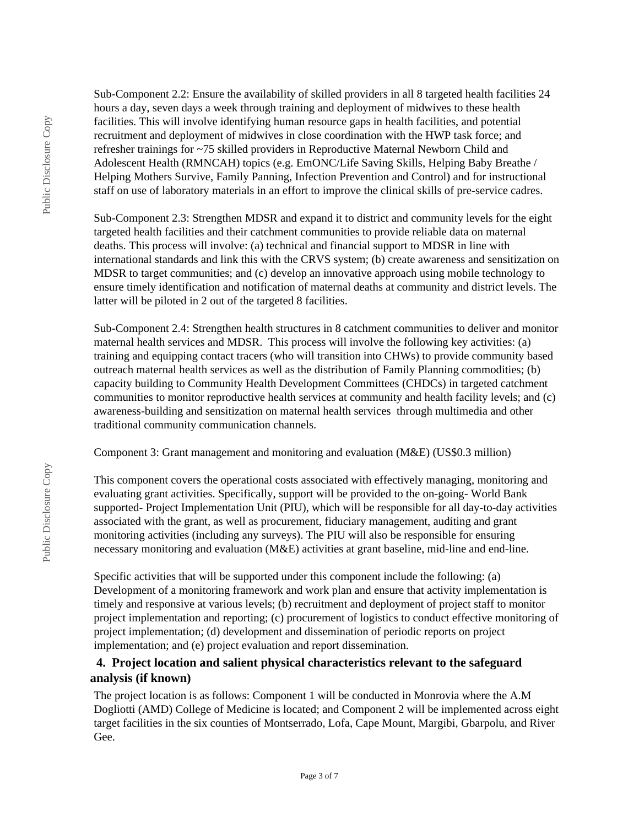Sub-Component 2.2: Ensure the availability of skilled providers in all 8 targeted health facilities 24 hours a day, seven days a week through training and deployment of midwives to these health facilities. This will involve identifying human resource gaps in health facilities, and potential recruitment and deployment of midwives in close coordination with the HWP task force; and refresher trainings for ~75 skilled providers in Reproductive Maternal Newborn Child and Adolescent Health (RMNCAH) topics (e.g. EmONC/Life Saving Skills, Helping Baby Breathe / Helping Mothers Survive, Family Panning, Infection Prevention and Control) and for instructional staff on use of laboratory materials in an effort to improve the clinical skills of pre-service cadres.

Sub-Component 2.3: Strengthen MDSR and expand it to district and community levels for the eight targeted health facilities and their catchment communities to provide reliable data on maternal deaths. This process will involve: (a) technical and financial support to MDSR in line with international standards and link this with the CRVS system; (b) create awareness and sensitization on MDSR to target communities; and (c) develop an innovative approach using mobile technology to ensure timely identification and notification of maternal deaths at community and district levels. The latter will be piloted in 2 out of the targeted 8 facilities.

Sub-Component 2.4: Strengthen health structures in 8 catchment communities to deliver and monitor maternal health services and MDSR. This process will involve the following key activities: (a) training and equipping contact tracers (who will transition into CHWs) to provide community based outreach maternal health services as well as the distribution of Family Planning commodities; (b) capacity building to Community Health Development Committees (CHDCs) in targeted catchment communities to monitor reproductive health services at community and health facility levels; and (c) awareness-building and sensitization on maternal health services through multimedia and other traditional community communication channels.

Component 3: Grant management and monitoring and evaluation (M&E) (US\$0.3 million)

This component covers the operational costs associated with effectively managing, monitoring and evaluating grant activities. Specifically, support will be provided to the on-going- World Bank supported- Project Implementation Unit (PIU), which will be responsible for all day-to-day activities associated with the grant, as well as procurement, fiduciary management, auditing and grant monitoring activities (including any surveys). The PIU will also be responsible for ensuring necessary monitoring and evaluation (M&E) activities at grant baseline, mid-line and end-line.

Specific activities that will be supported under this component include the following: (a) Development of a monitoring framework and work plan and ensure that activity implementation is timely and responsive at various levels; (b) recruitment and deployment of project staff to monitor project implementation and reporting; (c) procurement of logistics to conduct effective monitoring of project implementation; (d) development and dissemination of periodic reports on project implementation; and (e) project evaluation and report dissemination.

# **4. Project location and salient physical characteristics relevant to the safeguard analysis (if known)**

The project location is as follows: Component 1 will be conducted in Monrovia where the A.M Dogliotti (AMD) College of Medicine is located; and Component 2 will be implemented across eight target facilities in the six counties of Montserrado, Lofa, Cape Mount, Margibi, Gbarpolu, and River Gee.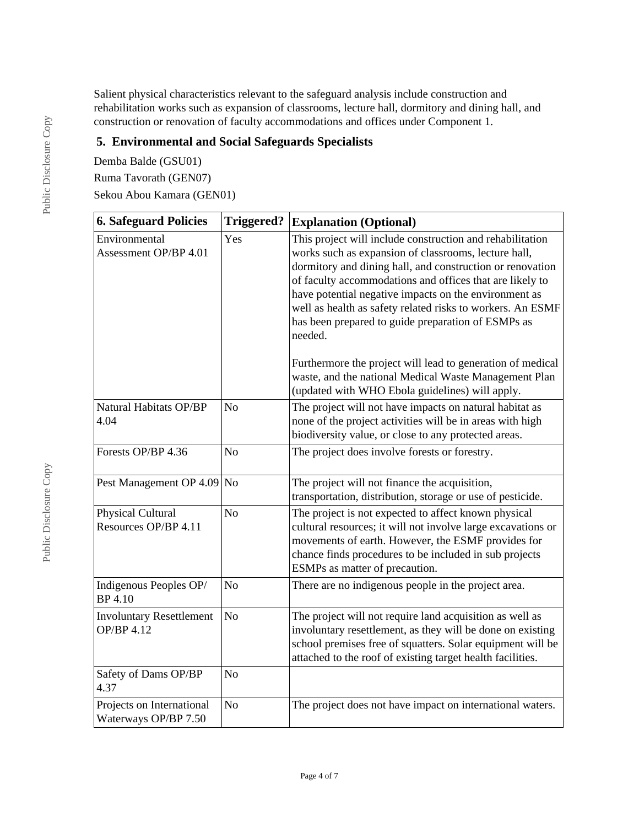Salient physical characteristics relevant to the safeguard analysis include construction and rehabilitation works such as expansion of classrooms, lecture hall, dormitory and dining hall, and construction or renovation of faculty accommodations and offices under Component 1.

# **5. Environmental and Social Safeguards Specialists**

Demba Balde (GSU01) Ruma Tavorath (GEN07) Sekou Abou Kamara (GEN01)

| <b>6. Safeguard Policies</b>                         | <b>Triggered?</b> | <b>Explanation (Optional)</b>                                                                                                                                                                                                                                                                                                                                                                                                                                                                                                                                                                                |
|------------------------------------------------------|-------------------|--------------------------------------------------------------------------------------------------------------------------------------------------------------------------------------------------------------------------------------------------------------------------------------------------------------------------------------------------------------------------------------------------------------------------------------------------------------------------------------------------------------------------------------------------------------------------------------------------------------|
| Environmental<br>Assessment OP/BP 4.01               | Yes               | This project will include construction and rehabilitation<br>works such as expansion of classrooms, lecture hall,<br>dormitory and dining hall, and construction or renovation<br>of faculty accommodations and offices that are likely to<br>have potential negative impacts on the environment as<br>well as health as safety related risks to workers. An ESMF<br>has been prepared to guide preparation of ESMPs as<br>needed.<br>Furthermore the project will lead to generation of medical<br>waste, and the national Medical Waste Management Plan<br>(updated with WHO Ebola guidelines) will apply. |
| Natural Habitats OP/BP<br>4.04                       | N <sub>o</sub>    | The project will not have impacts on natural habitat as<br>none of the project activities will be in areas with high<br>biodiversity value, or close to any protected areas.                                                                                                                                                                                                                                                                                                                                                                                                                                 |
| Forests OP/BP 4.36                                   | N <sub>o</sub>    | The project does involve forests or forestry.                                                                                                                                                                                                                                                                                                                                                                                                                                                                                                                                                                |
| Pest Management OP 4.09 No                           |                   | The project will not finance the acquisition,<br>transportation, distribution, storage or use of pesticide.                                                                                                                                                                                                                                                                                                                                                                                                                                                                                                  |
| Physical Cultural<br>Resources OP/BP 4.11            | N <sub>o</sub>    | The project is not expected to affect known physical<br>cultural resources; it will not involve large excavations or<br>movements of earth. However, the ESMF provides for<br>chance finds procedures to be included in sub projects<br>ESMPs as matter of precaution.                                                                                                                                                                                                                                                                                                                                       |
| Indigenous Peoples OP/<br><b>BP</b> 4.10             | N <sub>o</sub>    | There are no indigenous people in the project area.                                                                                                                                                                                                                                                                                                                                                                                                                                                                                                                                                          |
| <b>Involuntary Resettlement</b><br><b>OP/BP 4.12</b> | N <sub>o</sub>    | The project will not require land acquisition as well as<br>involuntary resettlement, as they will be done on existing<br>school premises free of squatters. Solar equipment will be<br>attached to the roof of existing target health facilities.                                                                                                                                                                                                                                                                                                                                                           |
| Safety of Dams OP/BP<br>4.37                         | N <sub>o</sub>    |                                                                                                                                                                                                                                                                                                                                                                                                                                                                                                                                                                                                              |
| Projects on International<br>Waterways OP/BP 7.50    | N <sub>o</sub>    | The project does not have impact on international waters.                                                                                                                                                                                                                                                                                                                                                                                                                                                                                                                                                    |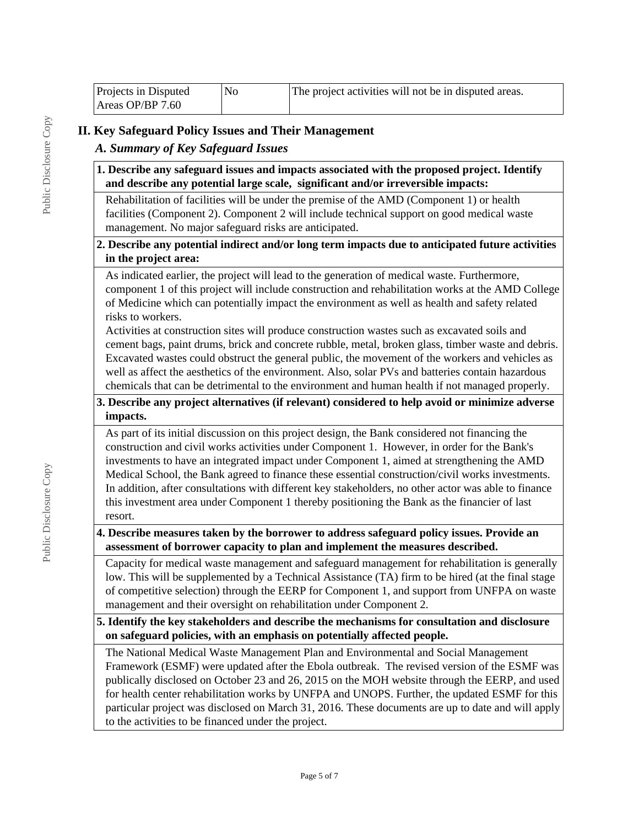| Projects in Disputed | N0 | The project activities will not be in disputed areas. |
|----------------------|----|-------------------------------------------------------|
| Areas OP/BP $7.60$   |    |                                                       |

# **II. Key Safeguard Policy Issues and Their Management**

# *A. Summary of Key Safeguard Issues*

**1. Describe any safeguard issues and impacts associated with the proposed project. Identify and describe any potential large scale, significant and/or irreversible impacts:**

Rehabilitation of facilities will be under the premise of the AMD (Component 1) or health facilities (Component 2). Component 2 will include technical support on good medical waste management. No major safeguard risks are anticipated.

### **2. Describe any potential indirect and/or long term impacts due to anticipated future activities in the project area:**

As indicated earlier, the project will lead to the generation of medical waste. Furthermore, component 1 of this project will include construction and rehabilitation works at the AMD College of Medicine which can potentially impact the environment as well as health and safety related risks to workers.

Activities at construction sites will produce construction wastes such as excavated soils and cement bags, paint drums, brick and concrete rubble, metal, broken glass, timber waste and debris. Excavated wastes could obstruct the general public, the movement of the workers and vehicles as well as affect the aesthetics of the environment. Also, solar PVs and batteries contain hazardous chemicals that can be detrimental to the environment and human health if not managed properly.

#### **3. Describe any project alternatives (if relevant) considered to help avoid or minimize adverse impacts.**

As part of its initial discussion on this project design, the Bank considered not financing the construction and civil works activities under Component 1. However, in order for the Bank's investments to have an integrated impact under Component 1, aimed at strengthening the AMD Medical School, the Bank agreed to finance these essential construction/civil works investments. In addition, after consultations with different key stakeholders, no other actor was able to finance this investment area under Component 1 thereby positioning the Bank as the financier of last resort.

**4. Describe measures taken by the borrower to address safeguard policy issues. Provide an assessment of borrower capacity to plan and implement the measures described.**

Capacity for medical waste management and safeguard management for rehabilitation is generally low. This will be supplemented by a Technical Assistance (TA) firm to be hired (at the final stage of competitive selection) through the EERP for Component 1, and support from UNFPA on waste management and their oversight on rehabilitation under Component 2.

**5. Identify the key stakeholders and describe the mechanisms for consultation and disclosure on safeguard policies, with an emphasis on potentially affected people.**

The National Medical Waste Management Plan and Environmental and Social Management Framework (ESMF) were updated after the Ebola outbreak. The revised version of the ESMF was publically disclosed on October 23 and 26, 2015 on the MOH website through the EERP, and used for health center rehabilitation works by UNFPA and UNOPS. Further, the updated ESMF for this particular project was disclosed on March 31, 2016. These documents are up to date and will apply to the activities to be financed under the project.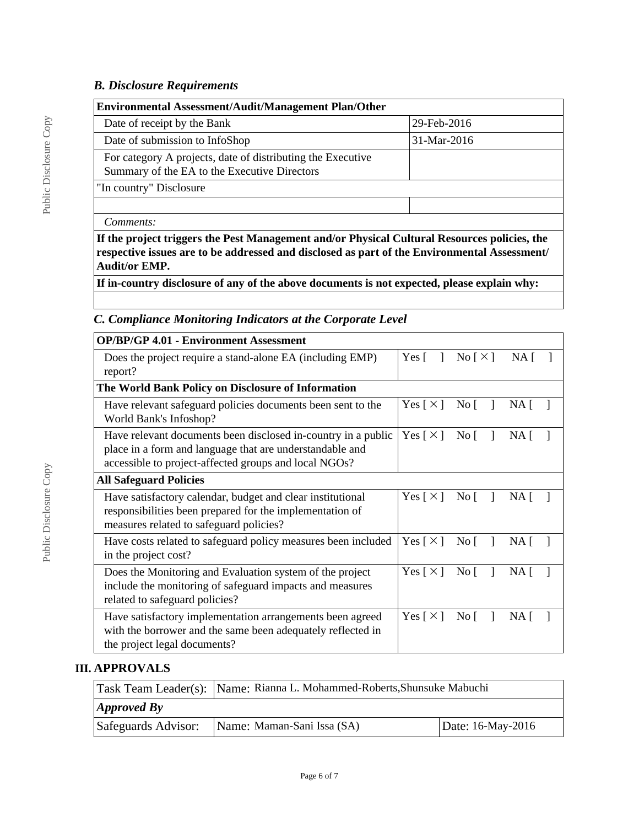## *B. Disclosure Requirements*

| <b>Environmental Assessment/Audit/Management Plan/Other</b>                                                 |               |  |  |  |
|-------------------------------------------------------------------------------------------------------------|---------------|--|--|--|
| Date of receipt by the Bank                                                                                 | 29-Feb-2016   |  |  |  |
| Date of submission to InfoShop                                                                              | $31-Mar-2016$ |  |  |  |
| For category A projects, date of distributing the Executive<br>Summary of the EA to the Executive Directors |               |  |  |  |
| "In country" Disclosure                                                                                     |               |  |  |  |
|                                                                                                             |               |  |  |  |
| Comments:                                                                                                   |               |  |  |  |

**If the project triggers the Pest Management and/or Physical Cultural Resources policies, the respective issues are to be addressed and disclosed as part of the Environmental Assessment/ Audit/or EMP.**

**If in-country disclosure of any of the above documents is not expected, please explain why:**

# *C. Compliance Monitoring Indicators at the Corporate Level*

| <b>OP/BP/GP 4.01 - Environment Assessment</b>                                                                                                                                      |                            |                                  |                 |
|------------------------------------------------------------------------------------------------------------------------------------------------------------------------------------|----------------------------|----------------------------------|-----------------|
| Does the project require a stand-alone EA (including EMP)<br>report?                                                                                                               | Yes $\lceil$<br>-1         | $\text{No} \lceil \times \rceil$ | NA <sub>1</sub> |
| The World Bank Policy on Disclosure of Information                                                                                                                                 |                            |                                  |                 |
| Have relevant safeguard policies documents been sent to the<br>World Bank's Infoshop?                                                                                              | Yes $\lceil \times \rceil$ | No $\lceil$<br>$\mathbf{1}$      | $NA$ [          |
| Have relevant documents been disclosed in-country in a public<br>place in a form and language that are understandable and<br>accessible to project-affected groups and local NGOs? | Yes $\lceil \times \rceil$ | $\overline{N}$ o                 | $NA$ [          |
| <b>All Safeguard Policies</b>                                                                                                                                                      |                            |                                  |                 |
| Have satisfactory calendar, budget and clear institutional<br>responsibilities been prepared for the implementation of<br>measures related to safeguard policies?                  | Yes $\lceil \times \rceil$ | $\overline{N}$ o [ ]             | $NA$ [          |
| Have costs related to safeguard policy measures been included<br>in the project cost?                                                                                              | Yes $\lceil \times \rceil$ | $\overline{N}$ o                 | NA [            |
| Does the Monitoring and Evaluation system of the project<br>include the monitoring of safeguard impacts and measures<br>related to safeguard policies?                             | Yes $\lceil \times \rceil$ | $\overline{N}$ o<br>-1           | $NA$ [          |
| Have satisfactory implementation arrangements been agreed<br>with the borrower and the same been adequately reflected in<br>the project legal documents?                           | Yes $\lceil \times \rceil$ | $\overline{N}$ o                 | NA [            |

#### **III. APPROVALS**

|                            | Task Team Leader(s): Name: Rianna L. Mohammed-Roberts, Shunsuke Mabuchi |                   |  |  |
|----------------------------|-------------------------------------------------------------------------|-------------------|--|--|
| $\vert$ <i>Approved By</i> |                                                                         |                   |  |  |
| Safeguards Advisor:        | Name: Maman-Sani Issa (SA)                                              | Date: 16-May-2016 |  |  |